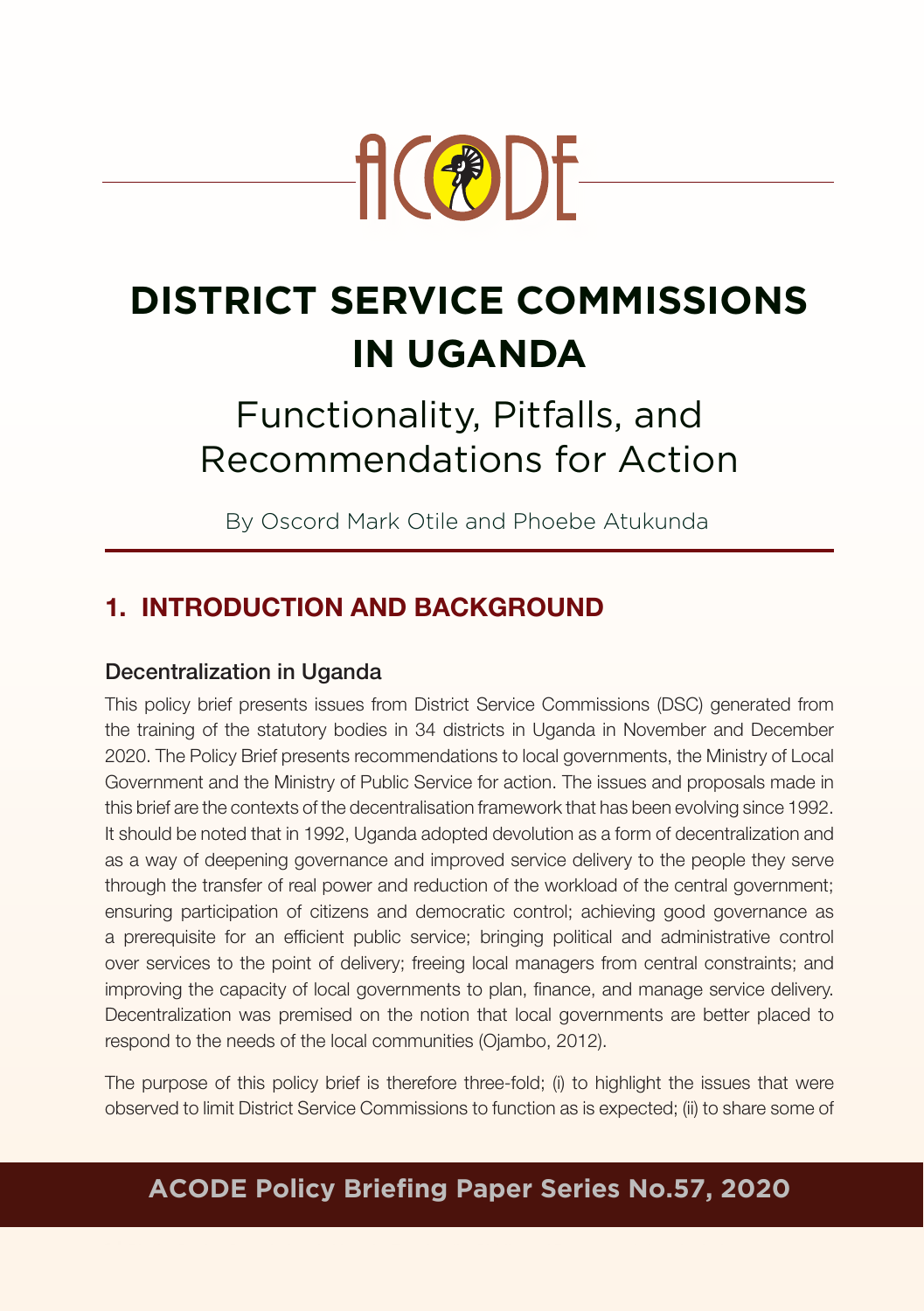

# **DISTRICT SERVICE COMMISSIONS IN UGANDA**

# Functionality, Pitfalls, and Recommendations for Action

By Oscord Mark Otile and Phoebe Atukunda

# 1. INTRODUCTION AND BACKGROUND

#### Decentralization in Uganda

This policy brief presents issues from District Service Commissions (DSC) generated from the training of the statutory bodies in 34 districts in Uganda in November and December 2020. The Policy Brief presents recommendations to local governments, the Ministry of Local Government and the Ministry of Public Service for action. The issues and proposals made in this brief are the contexts of the decentralisation framework that has been evolving since 1992. It should be noted that in 1992, Uganda adopted devolution as a form of decentralization and as a way of deepening governance and improved service delivery to the people they serve through the transfer of real power and reduction of the workload of the central government; ensuring participation of citizens and democratic control; achieving good governance as a prerequisite for an efficient public service; bringing political and administrative control over services to the point of delivery; freeing local managers from central constraints; and improving the capacity of local governments to plan, finance, and manage service delivery. Decentralization was premised on the notion that local governments are better placed to respond to the needs of the local communities (Ojambo, 2012).

The purpose of this policy brief is therefore three-fold; (i) to highlight the issues that were observed to limit District Service Commissions to function as is expected; (ii) to share some of

# **ACODE Policy Briefing Paper Series No.57, 2020**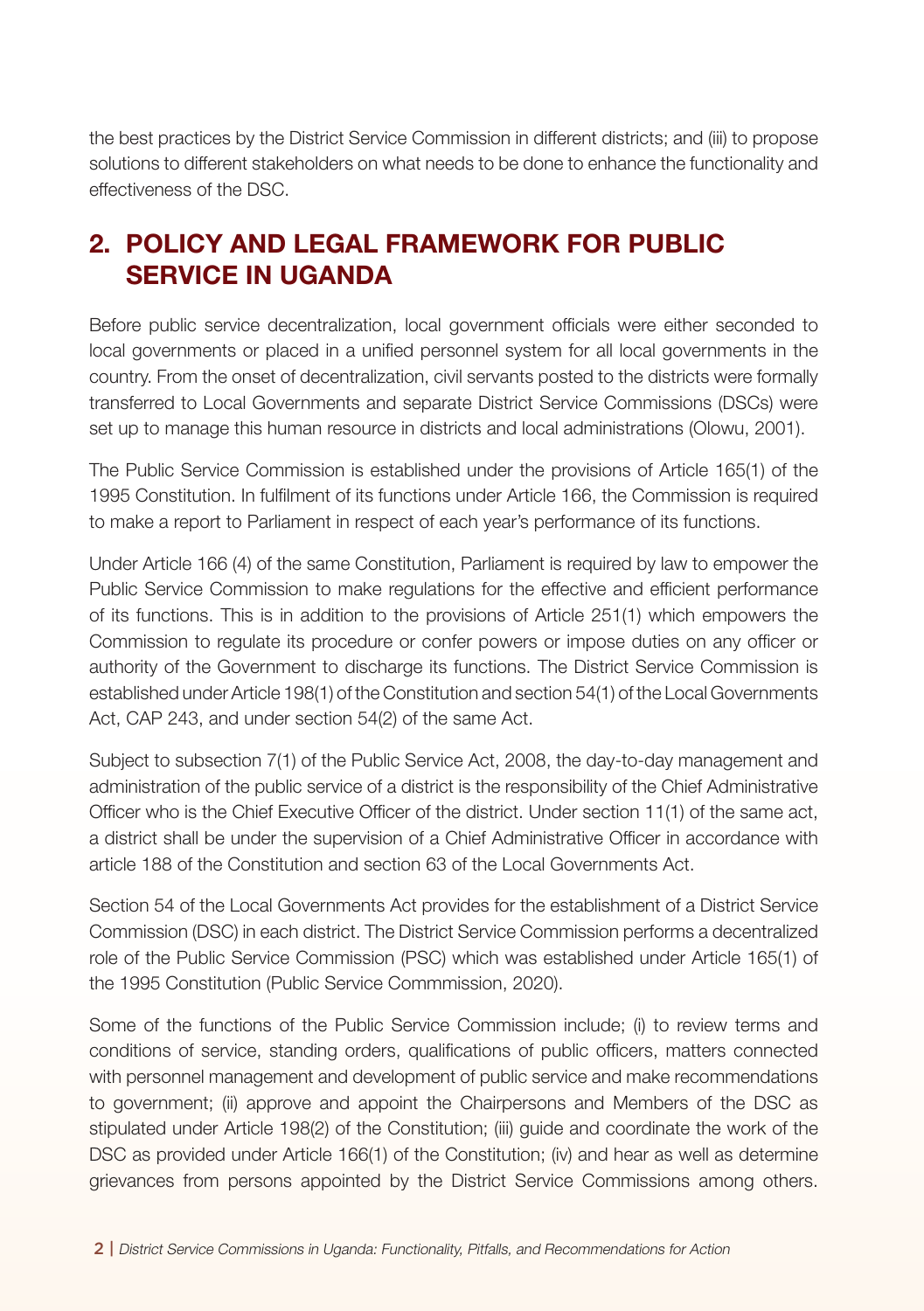the best practices by the District Service Commission in different districts; and (iii) to propose solutions to different stakeholders on what needs to be done to enhance the functionality and effectiveness of the DSC.

# 2. POLICY AND LEGAL FRAMEWORK FOR PUBLIC SERVICE IN UGANDA

Before public service decentralization, local government officials were either seconded to local governments or placed in a unified personnel system for all local governments in the country. From the onset of decentralization, civil servants posted to the districts were formally transferred to Local Governments and separate District Service Commissions (DSCs) were set up to manage this human resource in districts and local administrations (Olowu, 2001).

The Public Service Commission is established under the provisions of Article 165(1) of the 1995 Constitution. In fulfilment of its functions under Article 166, the Commission is required to make a report to Parliament in respect of each year's performance of its functions.

Under Article 166 (4) of the same Constitution, Parliament is required by law to empower the Public Service Commission to make regulations for the effective and efficient performance of its functions. This is in addition to the provisions of Article 251(1) which empowers the Commission to regulate its procedure or confer powers or impose duties on any officer or authority of the Government to discharge its functions. The District Service Commission is established under Article 198(1) of the Constitution and section 54(1) of the Local Governments Act, CAP 243, and under section 54(2) of the same Act.

Subject to subsection 7(1) of the Public Service Act, 2008, the day-to-day management and administration of the public service of a district is the responsibility of the Chief Administrative Officer who is the Chief Executive Officer of the district. Under section 11(1) of the same act, a district shall be under the supervision of a Chief Administrative Officer in accordance with article 188 of the Constitution and section 63 of the Local Governments Act.

Section 54 of the Local Governments Act provides for the establishment of a District Service Commission (DSC) in each district. The District Service Commission performs a decentralized role of the Public Service Commission (PSC) which was established under Article 165(1) of the 1995 Constitution (Public Service Commmission, 2020).

Some of the functions of the Public Service Commission include; (i) to review terms and conditions of service, standing orders, qualifications of public officers, matters connected with personnel management and development of public service and make recommendations to government; (ii) approve and appoint the Chairpersons and Members of the DSC as stipulated under Article 198(2) of the Constitution; (iii) guide and coordinate the work of the DSC as provided under Article 166(1) of the Constitution; (iv) and hear as well as determine grievances from persons appointed by the District Service Commissions among others.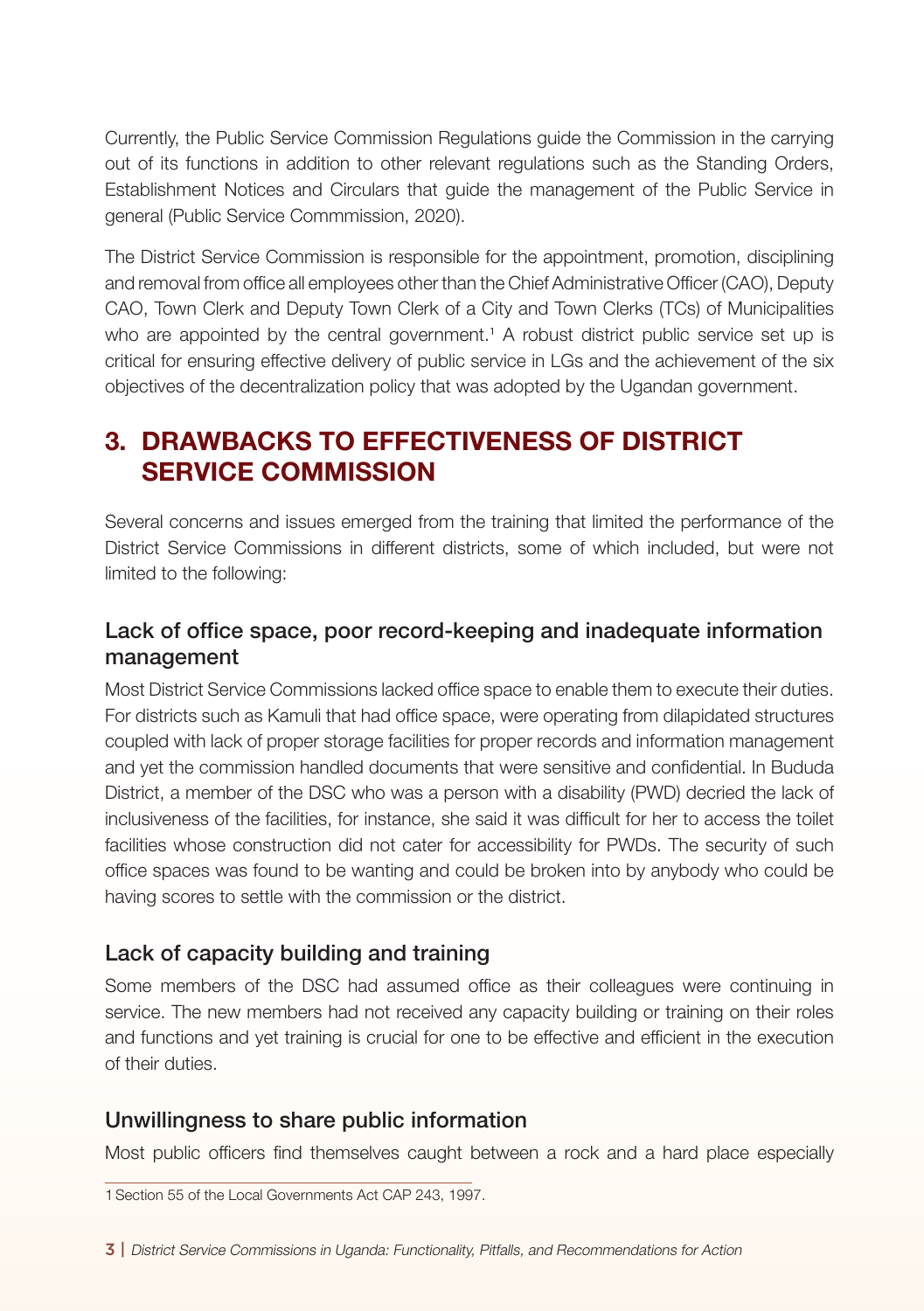Currently, the Public Service Commission Regulations guide the Commission in the carrying out of its functions in addition to other relevant regulations such as the Standing Orders, Establishment Notices and Circulars that guide the management of the Public Service in general (Public Service Commmission, 2020).

The District Service Commission is responsible for the appointment, promotion, disciplining and removal from office all employees other than the Chief Administrative Officer (CAO), Deputy CAO, Town Clerk and Deputy Town Clerk of a City and Town Clerks (TCs) of Municipalities who are appointed by the central government.<sup>1</sup> A robust district public service set up is critical for ensuring effective delivery of public service in LGs and the achievement of the six objectives of the decentralization policy that was adopted by the Ugandan government.

## 3. DRAWBACKS TO EFFECTIVENESS OF DISTRICT SERVICE COMMISSION

Several concerns and issues emerged from the training that limited the performance of the District Service Commissions in different districts, some of which included, but were not limited to the following:

#### Lack of office space, poor record-keeping and inadequate information management

Most District Service Commissions lacked office space to enable them to execute their duties. For districts such as Kamuli that had office space, were operating from dilapidated structures coupled with lack of proper storage facilities for proper records and information management and yet the commission handled documents that were sensitive and confidential. In Bududa District, a member of the DSC who was a person with a disability (PWD) decried the lack of inclusiveness of the facilities, for instance, she said it was difficult for her to access the toilet facilities whose construction did not cater for accessibility for PWDs. The security of such office spaces was found to be wanting and could be broken into by anybody who could be having scores to settle with the commission or the district.

#### Lack of capacity building and training

Some members of the DSC had assumed office as their colleagues were continuing in service. The new members had not received any capacity building or training on their roles and functions and yet training is crucial for one to be effective and efficient in the execution of their duties.

#### Unwillingness to share public information

Most public officers find themselves caught between a rock and a hard place especially

1Section 55 of the Local Governments Act CAP 243, 1997.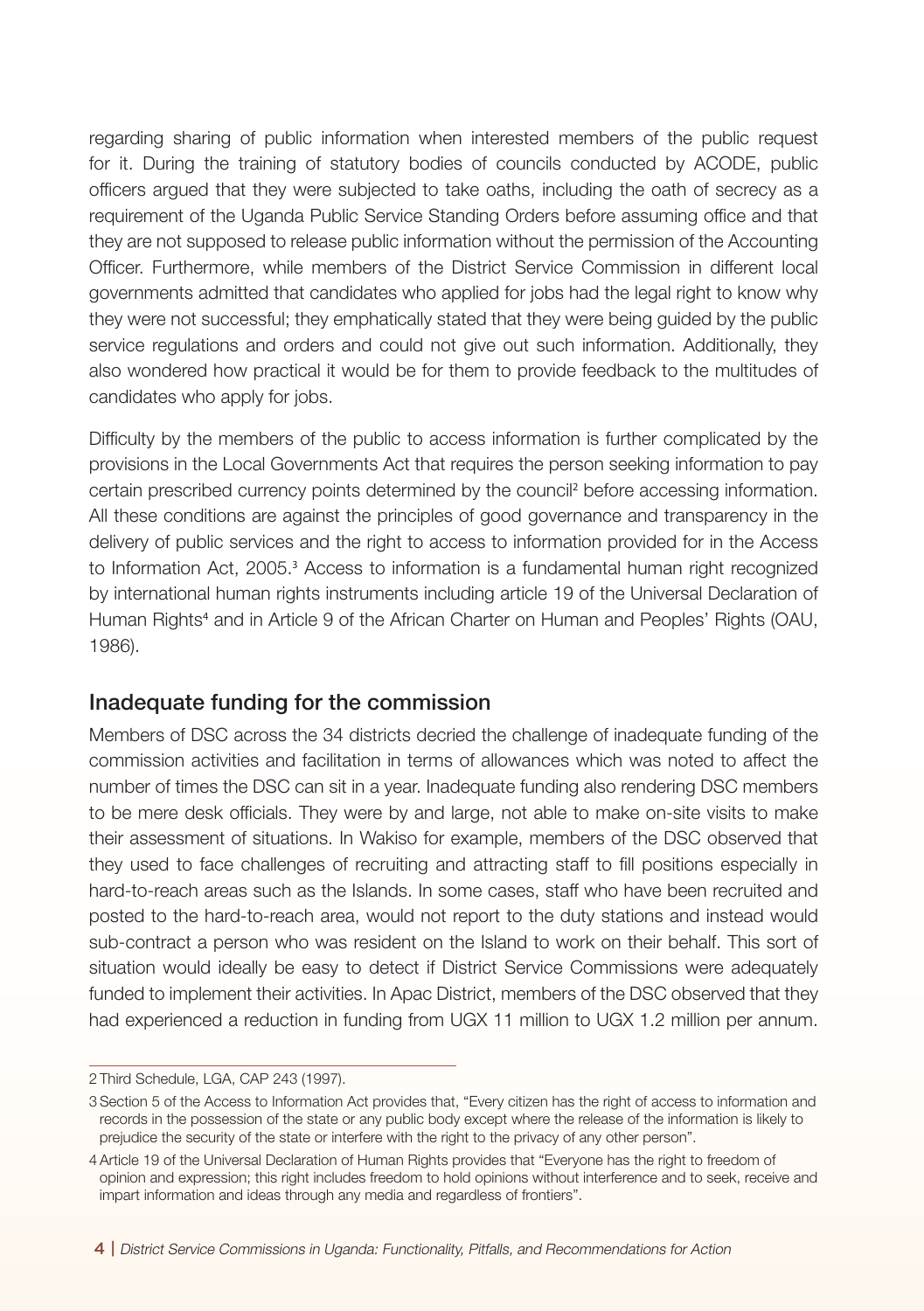regarding sharing of public information when interested members of the public request for it. During the training of statutory bodies of councils conducted by ACODE, public officers argued that they were subjected to take oaths, including the oath of secrecy as a requirement of the Uganda Public Service Standing Orders before assuming office and that they are not supposed to release public information without the permission of the Accounting Officer. Furthermore, while members of the District Service Commission in different local governments admitted that candidates who applied for jobs had the legal right to know why they were not successful; they emphatically stated that they were being guided by the public service regulations and orders and could not give out such information. Additionally, they also wondered how practical it would be for them to provide feedback to the multitudes of candidates who apply for jobs.

Difficulty by the members of the public to access information is further complicated by the provisions in the Local Governments Act that requires the person seeking information to pay certain prescribed currency points determined by the council<sup>2</sup> before accessing information. All these conditions are against the principles of good governance and transparency in the delivery of public services and the right to access to information provided for in the Access to Information Act, 2005.<sup>3</sup> Access to information is a fundamental human right recognized by international human rights instruments including article 19 of the Universal Declaration of Human Rights<sup>4</sup> and in Article 9 of the African Charter on Human and Peoples' Rights (OAU, 1986).

#### Inadequate funding for the commission

Members of DSC across the 34 districts decried the challenge of inadequate funding of the commission activities and facilitation in terms of allowances which was noted to affect the number of times the DSC can sit in a year. Inadequate funding also rendering DSC members to be mere desk officials. They were by and large, not able to make on-site visits to make their assessment of situations. In Wakiso for example, members of the DSC observed that they used to face challenges of recruiting and attracting staff to fill positions especially in hard-to-reach areas such as the Islands. In some cases, staff who have been recruited and posted to the hard-to-reach area, would not report to the duty stations and instead would sub-contract a person who was resident on the Island to work on their behalf. This sort of situation would ideally be easy to detect if District Service Commissions were adequately funded to implement their activities. In Apac District, members of the DSC observed that they had experienced a reduction in funding from UGX 11 million to UGX 1.2 million per annum.

<sup>2</sup> Third Schedule, LGA, CAP 243 (1997).

<sup>3</sup>Section 5 of the Access to Information Act provides that, "Every citizen has the right of access to information and records in the possession of the state or any public body except where the release of the information is likely to prejudice the security of the state or interfere with the right to the privacy of any other person".

<sup>4</sup>Article 19 of the Universal Declaration of Human Rights provides that "Everyone has the right to freedom of opinion and expression; this right includes freedom to hold opinions without interference and to seek, receive and impart information and ideas through any media and regardless of frontiers".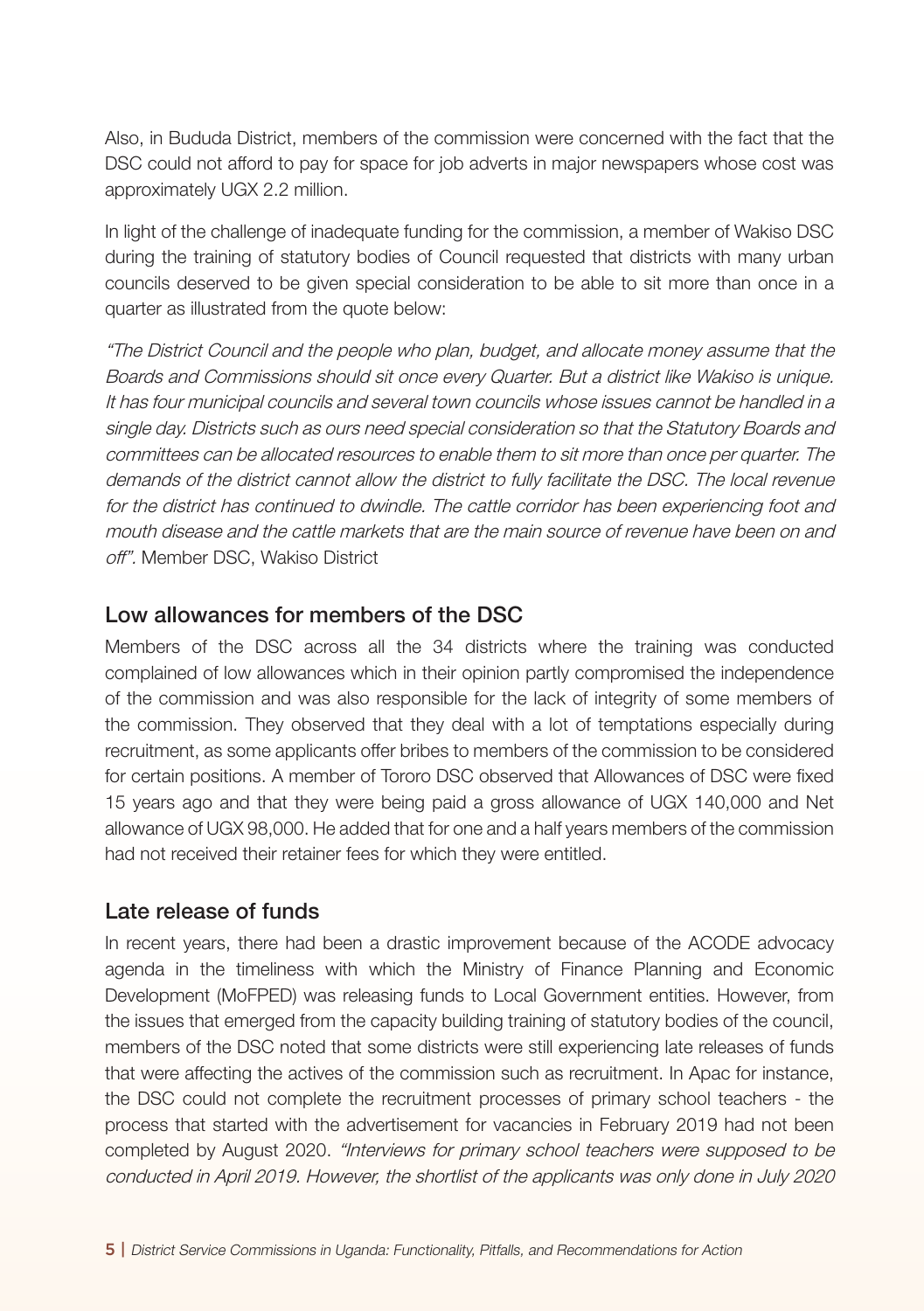Also, in Bududa District, members of the commission were concerned with the fact that the DSC could not afford to pay for space for job adverts in major newspapers whose cost was approximately UGX 2.2 million.

In light of the challenge of inadequate funding for the commission, a member of Wakiso DSC during the training of statutory bodies of Council requested that districts with many urban councils deserved to be given special consideration to be able to sit more than once in a quarter as illustrated from the quote below:

"The District Council and the people who plan, budget, and allocate money assume that the Boards and Commissions should sit once every Quarter. But a district like Wakiso is unique. It has four municipal councils and several town councils whose issues cannot be handled in a single day. Districts such as ours need special consideration so that the Statutory Boards and committees can be allocated resources to enable them to sit more than once per quarter. The demands of the district cannot allow the district to fully facilitate the DSC. The local revenue for the district has continued to dwindle. The cattle corridor has been experiencing foot and mouth disease and the cattle markets that are the main source of revenue have been on and off". Member DSC, Wakiso District

#### Low allowances for members of the DSC

Members of the DSC across all the 34 districts where the training was conducted complained of low allowances which in their opinion partly compromised the independence of the commission and was also responsible for the lack of integrity of some members of the commission. They observed that they deal with a lot of temptations especially during recruitment, as some applicants offer bribes to members of the commission to be considered for certain positions. A member of Tororo DSC observed that Allowances of DSC were fixed 15 years ago and that they were being paid a gross allowance of UGX 140,000 and Net allowance of UGX 98,000. He added that for one and a half years members of the commission had not received their retainer fees for which they were entitled.

#### Late release of funds

In recent years, there had been a drastic improvement because of the ACODE advocacy agenda in the timeliness with which the Ministry of Finance Planning and Economic Development (MoFPED) was releasing funds to Local Government entities. However, from the issues that emerged from the capacity building training of statutory bodies of the council, members of the DSC noted that some districts were still experiencing late releases of funds that were affecting the actives of the commission such as recruitment. In Apac for instance, the DSC could not complete the recruitment processes of primary school teachers - the process that started with the advertisement for vacancies in February 2019 had not been completed by August 2020. "Interviews for primary school teachers were supposed to be conducted in April 2019. However, the shortlist of the applicants was only done in July 2020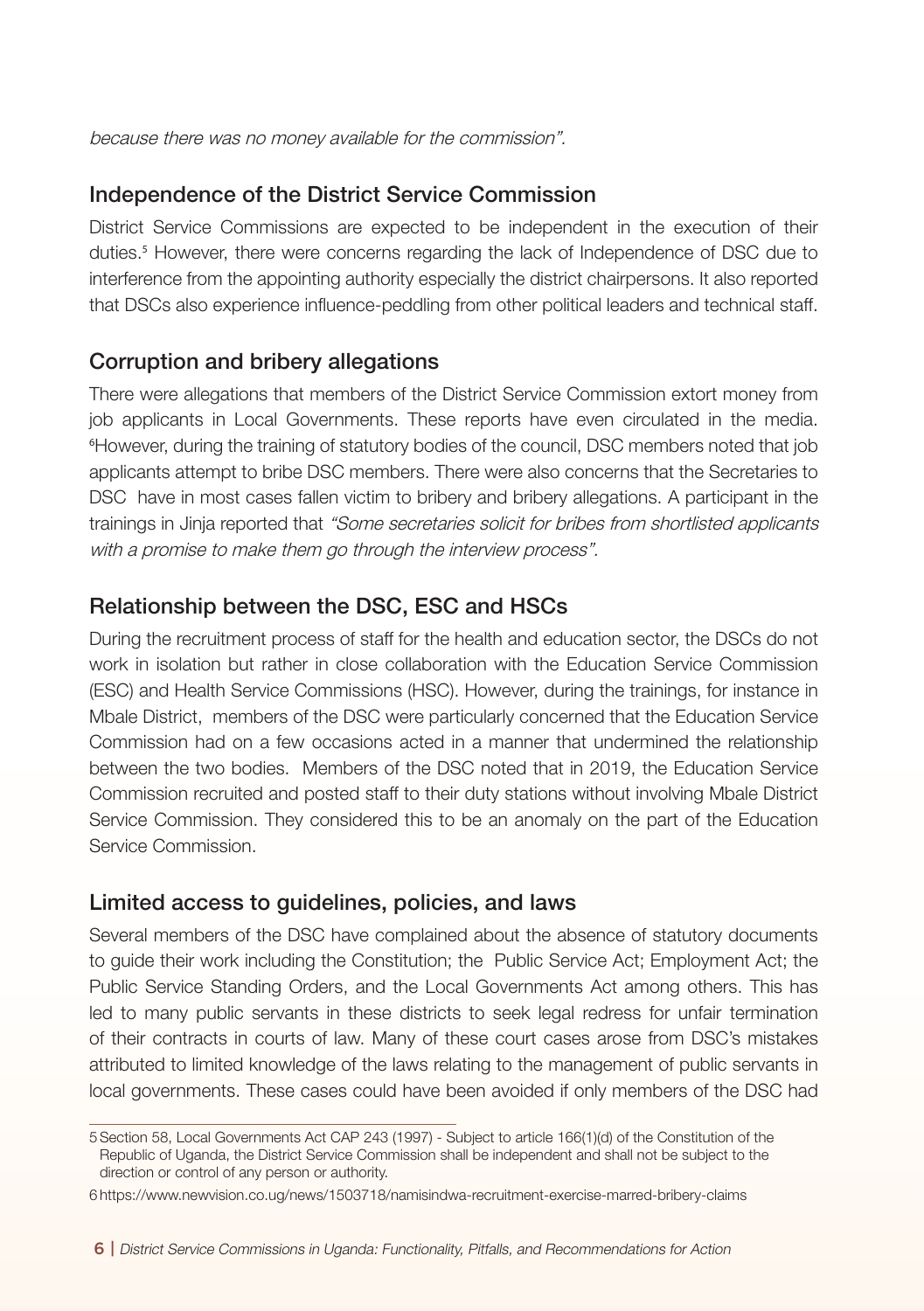because there was no money available for the commission".

#### Independence of the District Service Commission

District Service Commissions are expected to be independent in the execution of their duties.<sup>5</sup> However, there were concerns regarding the lack of Independence of DSC due to interference from the appointing authority especially the district chairpersons. It also reported that DSCs also experience influence-peddling from other political leaders and technical staff.

#### Corruption and bribery allegations

There were allegations that members of the District Service Commission extort money from job applicants in Local Governments. These reports have even circulated in the media. 6 However, during the training of statutory bodies of the council, DSC members noted that job applicants attempt to bribe DSC members. There were also concerns that the Secretaries to DSC have in most cases fallen victim to bribery and bribery allegations. A participant in the trainings in Jinja reported that "Some secretaries solicit for bribes from shortlisted applicants with a promise to make them go through the interview process".

#### Relationship between the DSC, ESC and HSCs

During the recruitment process of staff for the health and education sector, the DSCs do not work in isolation but rather in close collaboration with the Education Service Commission (ESC) and Health Service Commissions (HSC). However, during the trainings, for instance in Mbale District, members of the DSC were particularly concerned that the Education Service Commission had on a few occasions acted in a manner that undermined the relationship between the two bodies. Members of the DSC noted that in 2019, the Education Service Commission recruited and posted staff to their duty stations without involving Mbale District Service Commission. They considered this to be an anomaly on the part of the Education Service Commission.

#### Limited access to guidelines, policies, and laws

Several members of the DSC have complained about the absence of statutory documents to guide their work including the Constitution; the Public Service Act; Employment Act; the Public Service Standing Orders, and the Local Governments Act among others. This has led to many public servants in these districts to seek legal redress for unfair termination of their contracts in courts of law. Many of these court cases arose from DSC's mistakes attributed to limited knowledge of the laws relating to the management of public servants in local governments. These cases could have been avoided if only members of the DSC had

<sup>5</sup>Section 58, Local Governments Act CAP 243 (1997) - Subject to article 166(1)(d) of the Constitution of the Republic of Uganda, the District Service Commission shall be independent and shall not be subject to the direction or control of any person or authority.

<sup>6</sup> https://www.newvision.co.ug/news/1503718/namisindwa-recruitment-exercise-marred-bribery-claims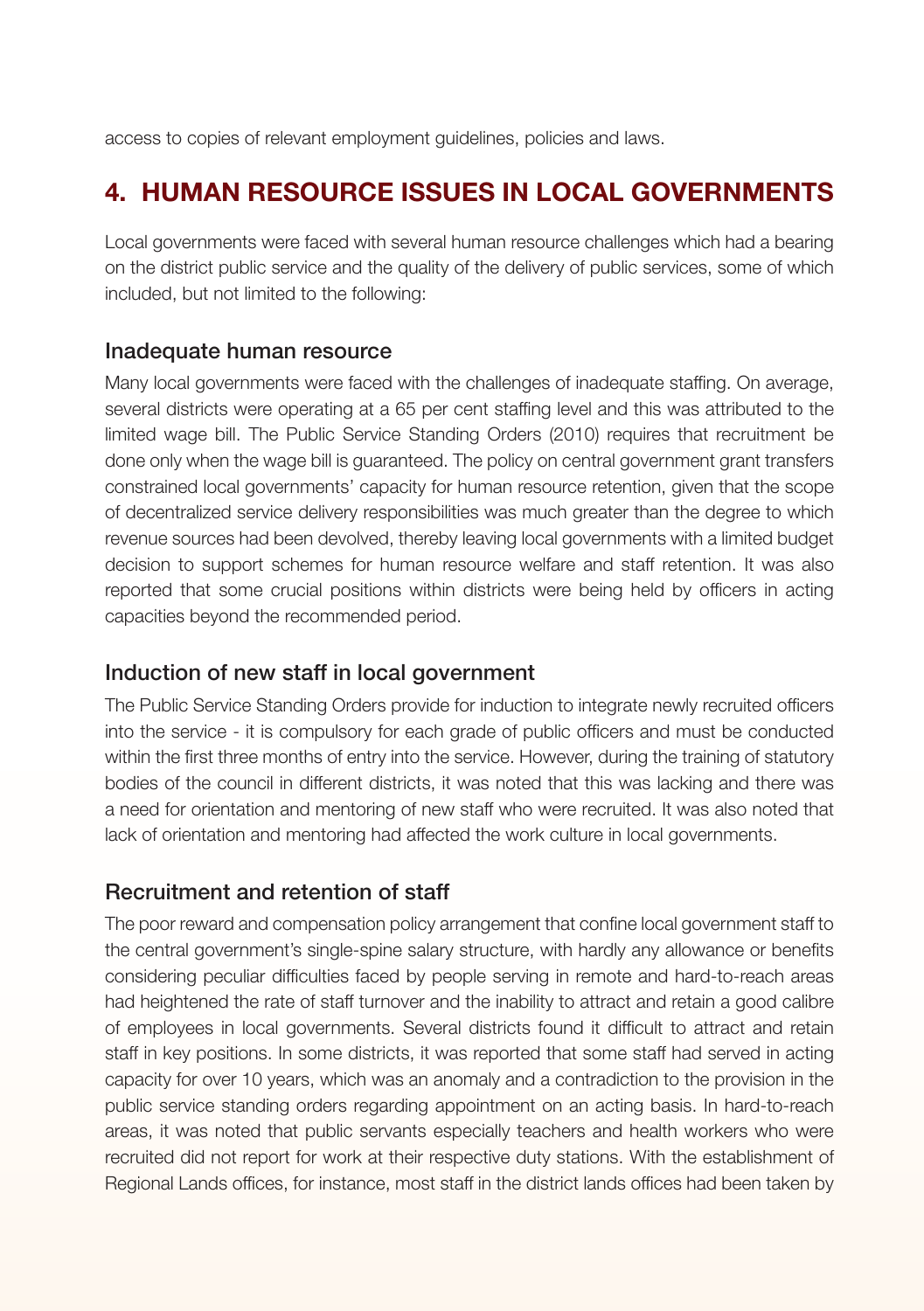access to copies of relevant employment guidelines, policies and laws.

# 4. HUMAN RESOURCE ISSUES IN LOCAL GOVERNMENTS

Local governments were faced with several human resource challenges which had a bearing on the district public service and the quality of the delivery of public services, some of which included, but not limited to the following:

#### Inadequate human resource

Many local governments were faced with the challenges of inadequate staffing. On average, several districts were operating at a 65 per cent staffing level and this was attributed to the limited wage bill. The Public Service Standing Orders (2010) requires that recruitment be done only when the wage bill is guaranteed. The policy on central government grant transfers constrained local governments' capacity for human resource retention, given that the scope of decentralized service delivery responsibilities was much greater than the degree to which revenue sources had been devolved, thereby leaving local governments with a limited budget decision to support schemes for human resource welfare and staff retention. It was also reported that some crucial positions within districts were being held by officers in acting capacities beyond the recommended period.

#### Induction of new staff in local government

The Public Service Standing Orders provide for induction to integrate newly recruited officers into the service - it is compulsory for each grade of public officers and must be conducted within the first three months of entry into the service. However, during the training of statutory bodies of the council in different districts, it was noted that this was lacking and there was a need for orientation and mentoring of new staff who were recruited. It was also noted that lack of orientation and mentoring had affected the work culture in local governments.

#### Recruitment and retention of staff

The poor reward and compensation policy arrangement that confine local government staff to the central government's single-spine salary structure, with hardly any allowance or benefits considering peculiar difficulties faced by people serving in remote and hard-to-reach areas had heightened the rate of staff turnover and the inability to attract and retain a good calibre of employees in local governments. Several districts found it difficult to attract and retain staff in key positions. In some districts, it was reported that some staff had served in acting capacity for over 10 years, which was an anomaly and a contradiction to the provision in the public service standing orders regarding appointment on an acting basis. In hard-to-reach areas, it was noted that public servants especially teachers and health workers who were recruited did not report for work at their respective duty stations. With the establishment of Regional Lands offices, for instance, most staff in the district lands offices had been taken by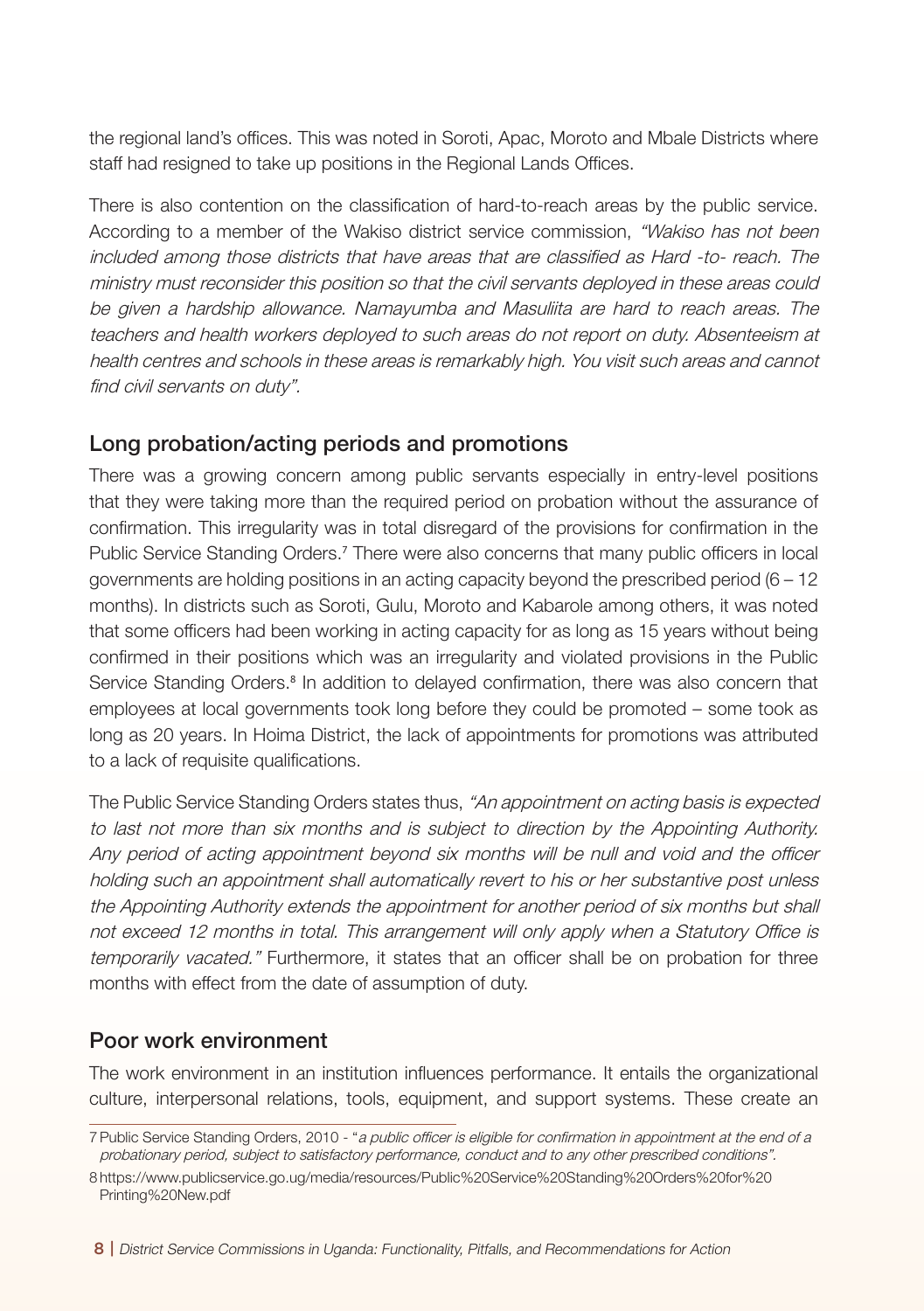the regional land's offices. This was noted in Soroti, Apac, Moroto and Mbale Districts where staff had resigned to take up positions in the Regional Lands Offices.

There is also contention on the classification of hard-to-reach areas by the public service. According to a member of the Wakiso district service commission, "Wakiso has not been included among those districts that have areas that are classified as Hard -to- reach. The ministry must reconsider this position so that the civil servants deployed in these areas could be given a hardship allowance. Namayumba and Masuliita are hard to reach areas. The teachers and health workers deployed to such areas do not report on duty. Absenteeism at health centres and schools in these areas is remarkably high. You visit such areas and cannot find civil servants on duty".

#### Long probation/acting periods and promotions

There was a growing concern among public servants especially in entry-level positions that they were taking more than the required period on probation without the assurance of confirmation. This irregularity was in total disregard of the provisions for confirmation in the Public Service Standing Orders.<sup>7</sup> There were also concerns that many public officers in local governments are holding positions in an acting capacity beyond the prescribed period (6 – 12 months). In districts such as Soroti, Gulu, Moroto and Kabarole among others, it was noted that some officers had been working in acting capacity for as long as 15 years without being confirmed in their positions which was an irregularity and violated provisions in the Public Service Standing Orders.<sup>8</sup> In addition to delayed confirmation, there was also concern that employees at local governments took long before they could be promoted – some took as long as 20 years. In Hoima District, the lack of appointments for promotions was attributed to a lack of requisite qualifications.

The Public Service Standing Orders states thus, "An appointment on acting basis is expected to last not more than six months and is subject to direction by the Appointing Authority. Any period of acting appointment beyond six months will be null and void and the officer holding such an appointment shall automatically revert to his or her substantive post unless the Appointing Authority extends the appointment for another period of six months but shall not exceed 12 months in total. This arrangement will only apply when a Statutory Office is temporarily vacated." Furthermore, it states that an officer shall be on probation for three months with effect from the date of assumption of duty.

#### Poor work environment

The work environment in an institution influences performance. It entails the organizational culture, interpersonal relations, tools, equipment, and support systems. These create an

<sup>7</sup> Public Service Standing Orders, 2010 - "a public officer is eligible for confirmation in appointment at the end of a probationary period, subject to satisfactory performance, conduct and to any other prescribed conditions".

<sup>8</sup> https://www.publicservice.go.ug/media/resources/Public%20Service%20Standing%20Orders%20for%20 Printing%20New.pdf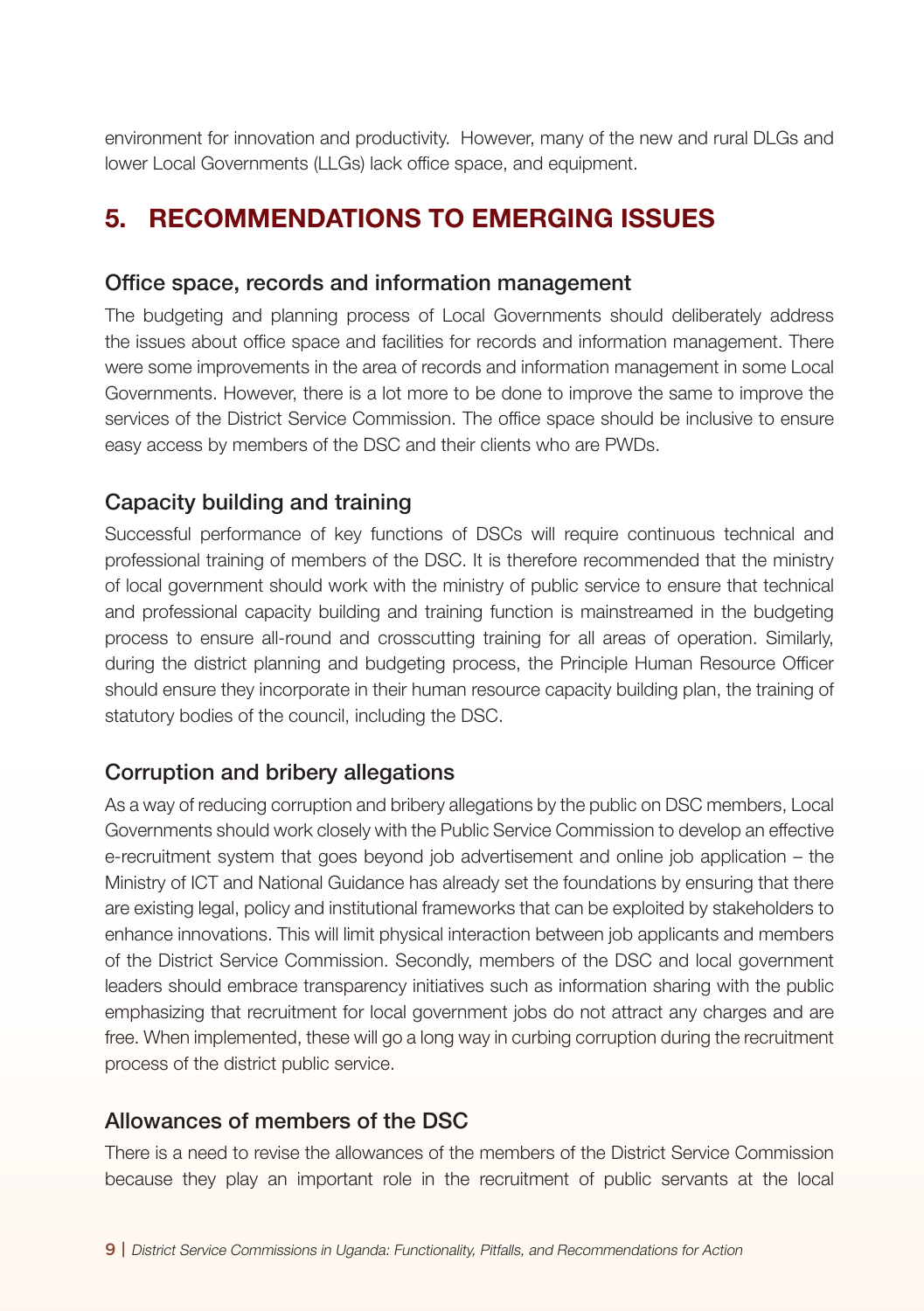environment for innovation and productivity. However, many of the new and rural DLGs and lower Local Governments (LLGs) lack office space, and equipment.

# 5. RECOMMENDATIONS TO EMERGING ISSUES

#### Office space, records and information management

The budgeting and planning process of Local Governments should deliberately address the issues about office space and facilities for records and information management. There were some improvements in the area of records and information management in some Local Governments. However, there is a lot more to be done to improve the same to improve the services of the District Service Commission. The office space should be inclusive to ensure easy access by members of the DSC and their clients who are PWDs.

#### Capacity building and training

Successful performance of key functions of DSCs will require continuous technical and professional training of members of the DSC. It is therefore recommended that the ministry of local government should work with the ministry of public service to ensure that technical and professional capacity building and training function is mainstreamed in the budgeting process to ensure all-round and crosscutting training for all areas of operation. Similarly, during the district planning and budgeting process, the Principle Human Resource Officer should ensure they incorporate in their human resource capacity building plan, the training of statutory bodies of the council, including the DSC.

#### Corruption and bribery allegations

As a way of reducing corruption and bribery allegations by the public on DSC members, Local Governments should work closely with the Public Service Commission to develop an effective e-recruitment system that goes beyond job advertisement and online job application – the Ministry of ICT and National Guidance has already set the foundations by ensuring that there are existing legal, policy and institutional frameworks that can be exploited by stakeholders to enhance innovations. This will limit physical interaction between job applicants and members of the District Service Commission. Secondly, members of the DSC and local government leaders should embrace transparency initiatives such as information sharing with the public emphasizing that recruitment for local government jobs do not attract any charges and are free. When implemented, these will go a long way in curbing corruption during the recruitment process of the district public service.

#### Allowances of members of the DSC

There is a need to revise the allowances of the members of the District Service Commission because they play an important role in the recruitment of public servants at the local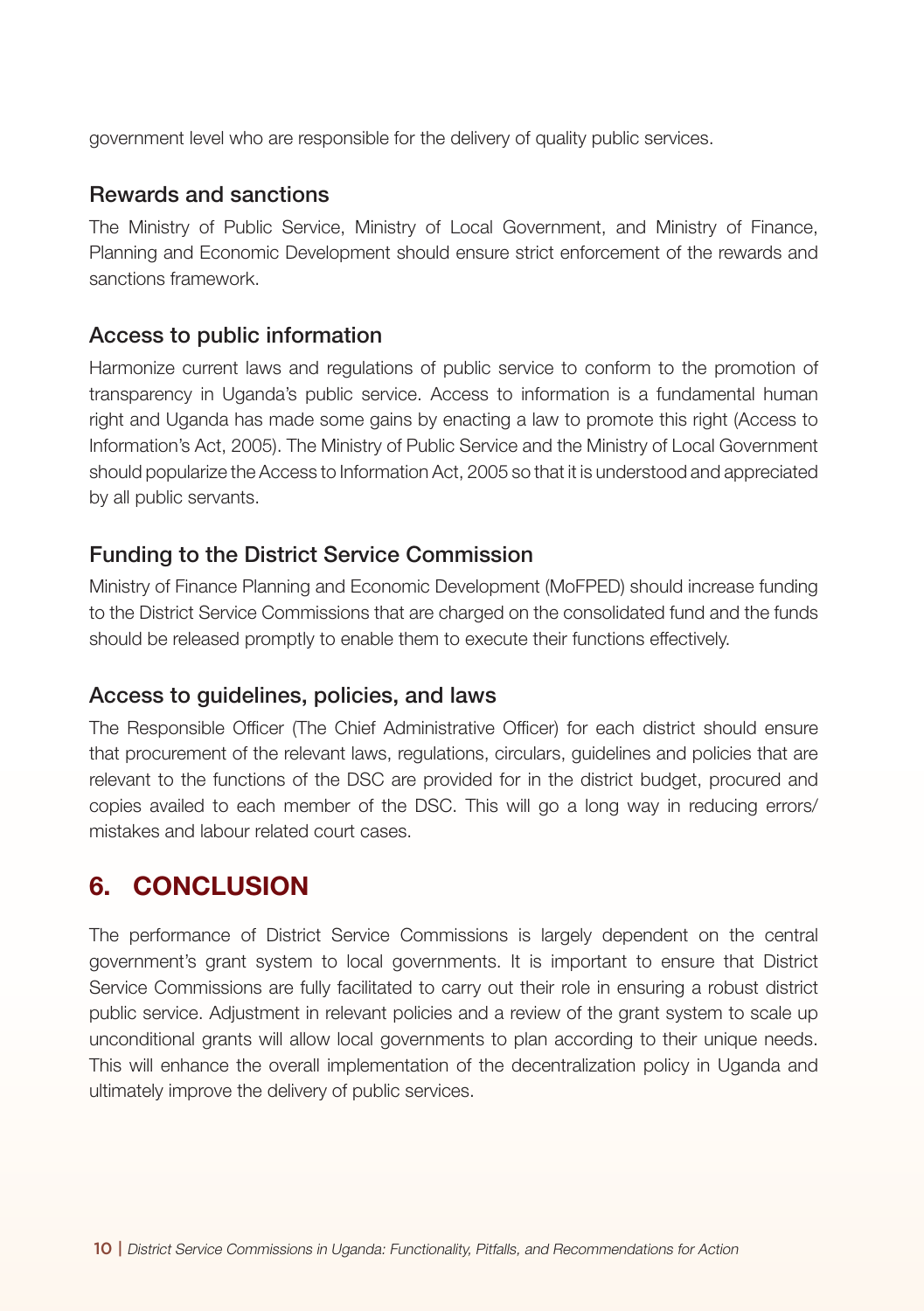government level who are responsible for the delivery of quality public services.

#### Rewards and sanctions

The Ministry of Public Service, Ministry of Local Government, and Ministry of Finance, Planning and Economic Development should ensure strict enforcement of the rewards and sanctions framework.

#### Access to public information

Harmonize current laws and regulations of public service to conform to the promotion of transparency in Uganda's public service. Access to information is a fundamental human right and Uganda has made some gains by enacting a law to promote this right (Access to Information's Act, 2005). The Ministry of Public Service and the Ministry of Local Government should popularize the Access to Information Act, 2005 so that it is understood and appreciated by all public servants.

#### Funding to the District Service Commission

Ministry of Finance Planning and Economic Development (MoFPED) should increase funding to the District Service Commissions that are charged on the consolidated fund and the funds should be released promptly to enable them to execute their functions effectively.

#### Access to guidelines, policies, and laws

The Responsible Officer (The Chief Administrative Officer) for each district should ensure that procurement of the relevant laws, regulations, circulars, guidelines and policies that are relevant to the functions of the DSC are provided for in the district budget, procured and copies availed to each member of the DSC. This will go a long way in reducing errors/ mistakes and labour related court cases.

### 6. CONCLUSION

The performance of District Service Commissions is largely dependent on the central government's grant system to local governments. It is important to ensure that District Service Commissions are fully facilitated to carry out their role in ensuring a robust district public service. Adjustment in relevant policies and a review of the grant system to scale up unconditional grants will allow local governments to plan according to their unique needs. This will enhance the overall implementation of the decentralization policy in Uganda and ultimately improve the delivery of public services.